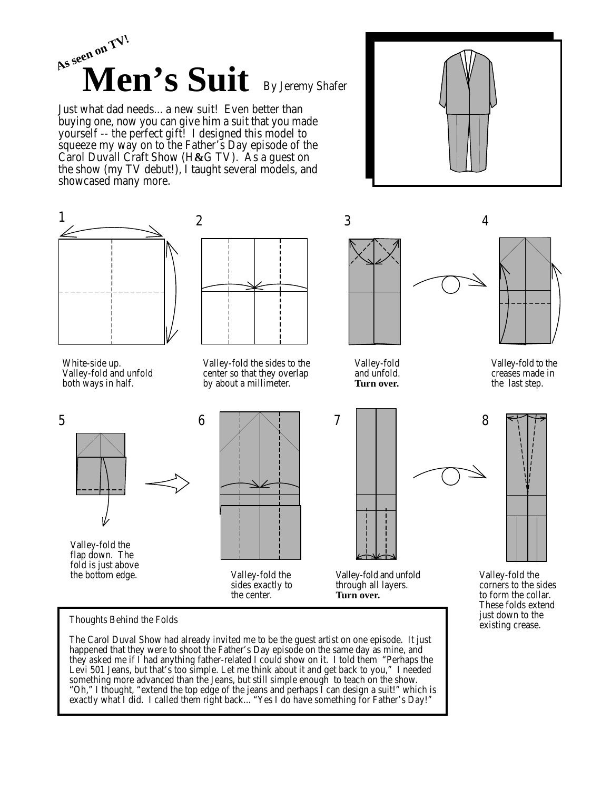

Just what dad needs... a new suit! Even better than buying one, now you can give him a suit that you made yourself -- the perfect gift! I designed this model to squeeze my way on to the Father's Day episode of the Carol Duvall Craft Show (H**&**G TV). As a guest on the show (my TV debut!), I taught several models, and showcased many more.





Levi 501 Jeans, but that's too simple. Let me think about it and get back to you," I needed something more advanced than the Jeans, but still simple enough to teach on the show. "Oh," I thought, "extend the top edge of the jeans and perhaps I can design a suit!" which is exactly what I did. I called them right back... "Yes I do have something for Father's Day!"